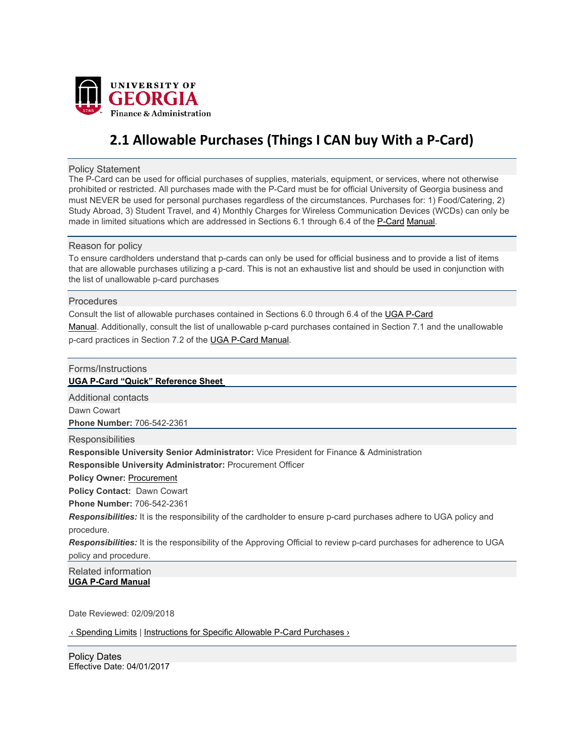

# **2.1 Allowable Purchases (Things I CAN buy With a P‐Card)**

Policy Statement

The P-Card can be used for official purchases of supplies, materials, equipment, or services, where not otherwise prohibited or restricted. All purchases made with the P-Card must be for official University of Georgia business and must NEVER be used for personal purchases regardless of the circumstances. Purchases for: 1) Food/Catering, 2) Study Abroad, 3) Student Travel, and 4) Monthly Charges for Wireless Communication Devices (WCDs) can only be made in limited situations which are addressed in Sections 6.1 through 6.4 of the P-Card Manual.

### Reason for policy

To ensure cardholders understand that p-cards can only be used for official business and to provide a list of items that are allowable purchases utilizing a p-card. This is not an exhaustive list and should be used in conjunction with the list of unallowable p-card purchases

#### **Procedures**

Consult the list of allowable purchases contained in Sections 6.0 through 6.4 of the UGA P-Card Manual. Additionally, consult the list of unallowable p-card purchases contained in Section 7.1 and the unallowable p-card practices in Section 7.2 of the UGA P-Card Manual.

# Forms/Instructions

## **UGA P-Card "Quick" Reference Sheet**

Additional contacts

Dawn Cowart

**Phone Number:** 706-542-2361

**Responsibilities** 

**Responsible University Senior Administrator:** Vice President for Finance & Administration **Responsible University Administrator:** Procurement Officer

**Policy Owner: Procurement** 

**Policy Contact:** Dawn Cowart

**Phone Number:** 706-542-2361

*Responsibilities:* It is the responsibility of the cardholder to ensure p-card purchases adhere to UGA policy and procedure.

*Responsibilities:* It is the responsibility of the Approving Official to review p-card purchases for adherence to UGA policy and procedure.

Related information **UGA P-Card Manual** 

Date Reviewed: 02/09/2018

‹ Spending Limits | Instructions for Specific Allowable P-Card Purchases ›

Effective Date: 04/01/2017 Policy Dates